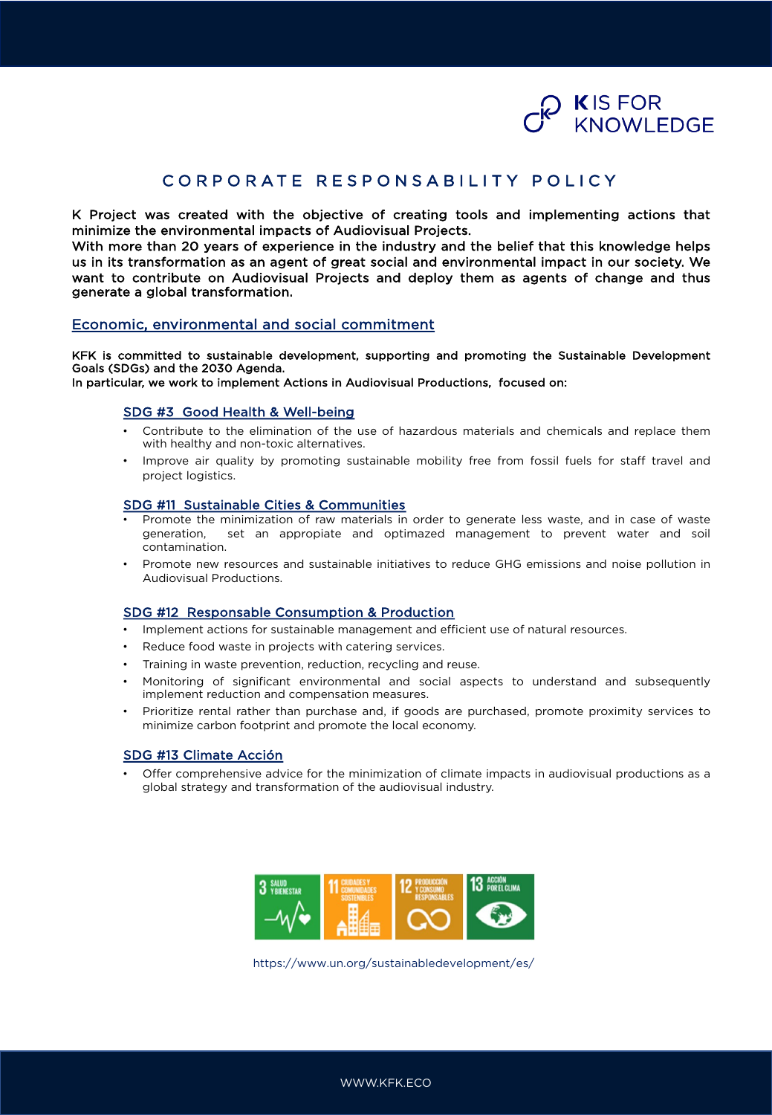

## CORPORATE RESPONSABILITY POLICY

K Project was created with the objective of creating tools and implementing actions that minimize the environmental impacts of Audiovisual Projects.

With more than 20 years of experience in the industry and the belief that this knowledge helps us in its transformation as an agent of great social and environmental impact in our society. We want to contribute on Audiovisual Projects and deploy them as agents of change and thus generate a global transformation.

### Economic, environmental and social commitment

KFK is committed to sustainable development, supporting and promoting the Sustainable Development Goals (SDGs) and the 2030 Agenda.

In particular, we work to implement Actions in Audiovisual Productions, focused on:

#### SDG #3 Good Health & Well-being

- Contribute to the elimination of the use of hazardous materials and chemicals and replace them with healthy and non-toxic alternatives.
- Improve air quality by promoting sustainable mobility free from fossil fuels for staff travel and project logistics.

#### SDG #11 Sustainable Cities & Communities

- Promote the minimization of raw materials in order to generate less waste, and in case of waste generation, set an appropiate and optimazed management to prevent water and soil contamination.
- Promote new resources and sustainable initiatives to reduce GHG emissions and noise pollution in Audiovisual Productions.

#### SDG #12 Responsable Consumption & Production

- Implement actions for sustainable management and efficient use of natural resources.
- Reduce food waste in projects with catering services.
- Training in waste prevention, reduction, recycling and reuse.
- Monitoring of significant environmental and social aspects to understand and subsequently implement reduction and compensation measures.
- Prioritize rental rather than purchase and, if goods are purchased, promote proximity services to minimize carbon footprint and promote the local economy.

#### SDG #13 Climate Acción

• Offer comprehensive advice for the minimization of climate impacts in audiovisual productions as a global strategy and transformation of the audiovisual industry.



https://www.un.org/sustainabledevelopment/es/

WWW.KFK.ECO